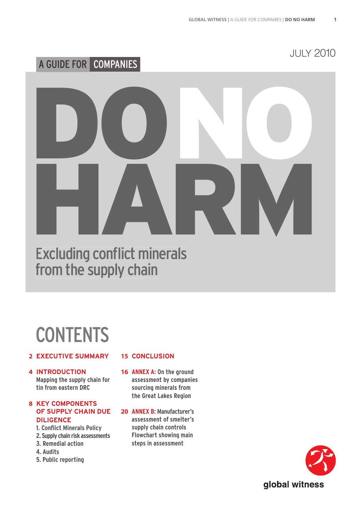# A GUIDE FOR COMPANIES

JULY 2010

# DONO HARM

**Excluding conflict minerals** from the supply chain

# **CONTENTS**

#### **EXECUTIVE SUMMARY 2**

**INTRODUCTION 4 Mapping the supply chain for tin from eastern DRC**

#### **KEY COMPONENTS 8 OF SUPPLY CHAIN DUE DILIGENCE**

- **1. Conflict Minerals Policy**
- **2. Supply chain risk assessments**
- **3. Remedial action**
- **4. Audits**
- **5. Public reporting**

#### 15 CONCLUSION

- 16 ANNEX A: On the ground **assessment by companies sourcing minerals from the Great Lakes Region**
- **ANNEX B: Manufacturer's 20 assessment of smelter's supply chain controls Flowchart showing main steps in assessment**

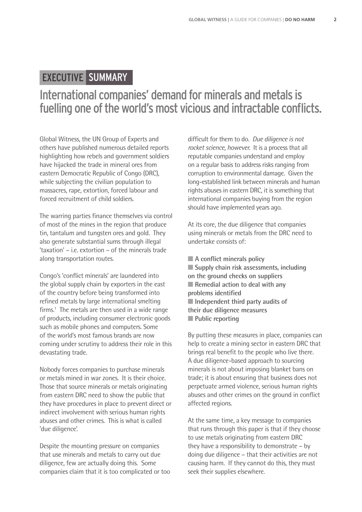## EXECUTIVE SUMMARY

# International companies' demand for minerals and metals is fuelling one of the world's most vicious and intractable conflicts.

Global Witness, the UN Group of Experts and others have published numerous detailed reports highlighting how rebels and government soldiers have hijacked the trade in mineral ores from eastern Democratic Republic of Congo (DRC), while subjecting the civilian population to massacres, rape, extortion, forced labour and forced recruitment of child soldiers.

The warring parties finance themselves via control of most of the mines in the region that produce tin, tantalum and tungsten ores and gold. They also generate substantial sums through illegal 'taxation' – i.e. extortion – of the minerals trade along transportation routes.

Congo's 'conflict minerals' are laundered into the global supply chain by exporters in the east of the country before being transformed into refined metals by large international smelting firms.<sup>1</sup> The metals are then used in a wide range of products, including consumer electronic goods such as mobile phones and computers. Some of the world's most famous brands are now coming under scrutiny to address their role in this devastating trade.

Nobody forces companies to purchase minerals or metals mined in war zones. It is their choice. Those that source minerals or metals originating from eastern DRC need to show the public that they have procedures in place to prevent direct or indirect involvement with serious human rights abuses and other crimes. This is what is called 'due diligence'.

Despite the mounting pressure on companies that use minerals and metals to carry out due diligence, few are actually doing this. Some companies claim that it is too complicated or too

diffi cult for them to do. *Due diligence is not rocket science, however.* It is a process that all reputable companies understand and employ on a regular basis to address risks ranging from corruption to environmental damage. Given the long-established link between minerals and human rights abuses in eastern DRC, it is something that international companies buying from the region should have implemented years ago.

At its core, the due diligence that companies using minerals or metals from the DRC need to undertake consists of:

■ **A** conflict minerals policy ■ **Supply chain risk assessments, including on the ground checks on suppliers** ■ **Remedial action to deal with any problems identified** ■ **Independent third party audits of their due diligence measures** ■ **Public reporting** 

By putting these measures in place, companies can help to create a mining sector in eastern DRC that brings real benefit to the people who live there. A due diligence-based approach to sourcing minerals is not about imposing blanket bans on trade; it is about ensuring that business does not perpetuate armed violence, serious human rights abuses and other crimes on the ground in conflict affected regions.

At the same time, a key message to companies that runs through this paper is that if they choose to use metals originating from eastern DRC they have a responsibility to demonstrate – by doing due diligence – that their activities are not causing harm. If they cannot do this, they must seek their supplies elsewhere.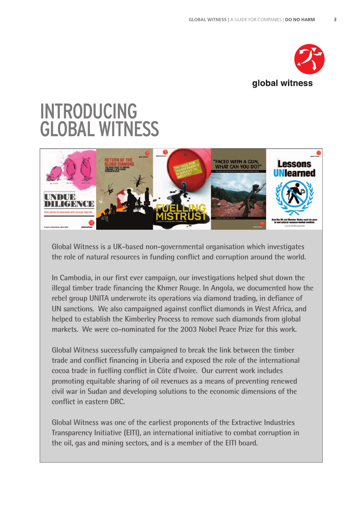

# INTRODUCING GLOBAL WITNESS



**Global Witness is a UK-based non-governmental organisation which investigates**  the role of natural resources in funding conflict and corruption around the world.

In Cambodia, in our first ever campaign, our investigations helped shut down the **illegal timber trade financing the Khmer Rouge. In Angola, we documented how the** rebel group UNITA underwrote its operations via diamond trading, in defiance of UN sanctions. We also campaigned against conflict diamonds in West Africa, and **helped to establish the Kimberley Process to remove such diamonds from global markets. We were co-nominated for the 2003 Nobel Peace Prize for this work.** 

**Global Witness successfully campaigned to break the link between the timber**  trade and conflict financing in Liberia and exposed the role of the international cocoa trade in fuelling conflict in Côte d'Ivoire. Our current work includes **promoting equitable sharing of oil revenues as a means of preventing renewed civil war in Sudan and developing solutions to the economic dimensions of the conflict in eastern DRC.** 

**Global Witness was one of the earliest proponents of the Extractive Industries Transparency Initiative (EITI), an international initiative to combat corruption in the oil, gas and mining sectors, and is a member of the EITI board.**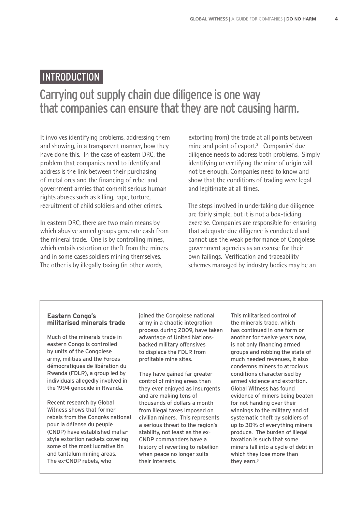## INTRODUCTION

# Carrying out supply chain due diligence is one way that companies can ensure that they are not causing harm.

It involves identifying problems, addressing them and showing, in a transparent manner, how they have done this. In the case of eastern DRC, the problem that companies need to identify and address is the link between their purchasing of metal ores and the financing of rebel and government armies that commit serious human rights abuses such as killing, rape, torture, recruitment of child soldiers and other crimes.

In eastern DRC, there are two main means by which abusive armed groups generate cash from the mineral trade. One is by controlling mines, which entails extortion or theft from the miners and in some cases soldiers mining themselves. The other is by illegally taxing (in other words,

extorting from) the trade at all points between mine and point of export.<sup>2</sup> Companies' due diligence needs to address both problems. Simply identifying or certifying the mine of origin will not be enough. Companies need to know and show that the conditions of trading were legal and legitimate at all times.

The steps involved in undertaking due diligence are fairly simple, but it is not a box-ticking exercise. Companies are responsible for ensuring that adequate due diligence is conducted and cannot use the weak performance of Congolese government agencies as an excuse for their own failings. Verification and traceability schemes managed by industry bodies may be an

#### **Eastern Congo's militarised minerals trade**

Much of the minerals trade in eastern Congo is controlled by units of the Congolese army, militias and the Forces démocratiques de libération du Rwanda (FDLR), a group led by individuals allegedly involved in the 1994 genocide in Rwanda.

Recent research by Global Witness shows that former rebels from the Congrès national pour la défense du peuple (CNDP) have established mafiastyle extortion rackets covering some of the most lucrative tin and tantalum mining areas. The ex-CNDP rebels, who

joined the Congolese national army in a chaotic integration process during 2009, have taken advantage of United Nationsbacked military offensives to displace the FDLR from profitable mine sites.

They have gained far greater control of mining areas than they ever enjoyed as insurgents and are making tens of thousands of dollars a month from illegal taxes imposed on civilian miners. This represents a serious threat to the region's stability, not least as the ex-CNDP commanders have a history of reverting to rebellion when peace no longer suits their interests.

This militarised control of the minerals trade, which has continued in one form or another for twelve years now, is not only financing armed groups and robbing the state of much needed revenues, it also condemns miners to atrocious conditions characterised by armed violence and extortion. Global Witness has found evidence of miners being beaten for not handing over their winnings to the military and of systematic theft by soldiers of up to 30% of everything miners produce. The burden of illegal taxation is such that some miners fall into a cycle of debt in which they lose more than they earn.3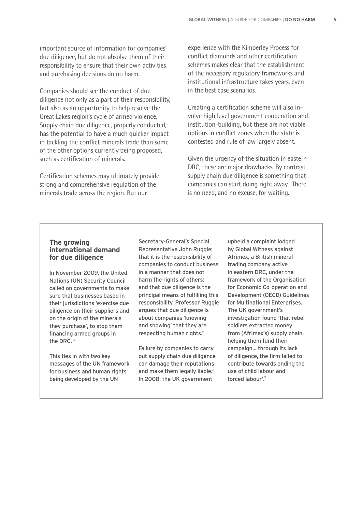important source of information for companies' due diligence, but do not absolve them of their responsibility to ensure that their own activities and purchasing decisions do no harm.

Companies should see the conduct of due diligence not only as a part of their responsibility, but also as an opportunity to help resolve the Great Lakes region's cycle of armed violence. Supply chain due diligence, properly conducted, has the potential to have a much quicker impact in tackling the conflict minerals trade than some of the other options currently being proposed, such as certification of minerals.

Certification schemes may ultimately provide strong and comprehensive regulation of the minerals trade across the region. But our

experience with the Kimberley Process for conflict diamonds and other certification schemes makes clear that the establishment of the necessary regulatory frameworks and institutional infrastructure takes years, even in the best case scenarios.

Creating a certification scheme will also involve high level government cooperation and institution-building, but these are not viable options in conflict zones when the state is contested and rule of law largely absent.

Given the urgency of the situation in eastern DRC, these are major drawbacks. By contrast, supply chain due diligence is something that companies can start doing right away. There is no need, and no excuse, for waiting.

#### **The growing international demand for due diligence**

In November 2009, the United Nations (UN) Security Council called on governments to make sure that businesses based in their jurisdictions 'exercise due diligence on their suppliers and on the origin of the minerals they purchase', to stop them financing armed groups in the DRC. 4

This ties in with two key messages of the UN framework for business and human rights being developed by the UN

Secretary-General's Special Representative John Ruggie: that it is the responsibility of companies to conduct business in a manner that does not harm the rights of others; and that due diligence is the principal means of fulfilling this responsibility. Professor Ruggie argues that due diligence is about companies 'knowing and showing' that they are respecting human rights.5

Failure by companies to carry out supply chain due diligence can damage their reputations and make them legally liable.<sup>6</sup> In 2008, the UK government

upheld a complaint lodged by Global Witness against Afrimex, a British mineral trading company active in eastern DRC, under the framework of the Organisation for Economic Co-operation and Development (OECD) Guidelines for Multinational Enterprises. The UK government's investigation found 'that rebel soldiers extracted money from (Afrimex's) supply chain, helping them fund their campaign... through its lack of diligence, the firm failed to contribute towards ending the use of child labour and forced labour'.7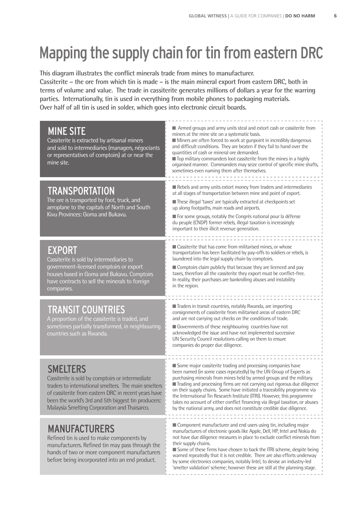# Mapping the supply chain for tin from eastern DRC

This diagram illustrates the conflict minerals trade from mines to manufacturer. **Cassiterite – the ore from which tin is made – is the main mineral export from eastern DRC, both in terms of volume and value. The trade in cassiterite generates millions of dollars a year for the warring parties. Internationally, tin is used in everything from mobile phones to packaging materials. Over half of all tin is used in solder, which goes into electronic circuit boards.**

| <b>MINE SITE</b><br>Cassiterite is extracted by artisanal miners<br>and sold to intermediaries (managers, négociants<br>or representatives of comptoirs) at or near the<br>mine site.                                                                                                      | Armed groups and army units steal and extort cash or cassiterite from<br>miners at the mine site on a systematic basis.<br>Miners are often forced to work at gunpoint in incredibly dangerous<br>and difficult conditions. They are beaten if they fail to hand over the<br>quantities of cash or mineral ore demanded.<br>■ Top military commanders loot cassiterite from the mines in a highly<br>organised manner. Commanders may seize control of specific mine shafts,<br>sometimes even naming them after themselves.                                                                               |
|--------------------------------------------------------------------------------------------------------------------------------------------------------------------------------------------------------------------------------------------------------------------------------------------|------------------------------------------------------------------------------------------------------------------------------------------------------------------------------------------------------------------------------------------------------------------------------------------------------------------------------------------------------------------------------------------------------------------------------------------------------------------------------------------------------------------------------------------------------------------------------------------------------------|
| <b>TRANSPORTATION</b><br>The ore is transported by foot, truck, and<br>aeroplane to the capitals of North and South<br>Kivu Provinces: Goma and Bukavu.                                                                                                                                    | Rebels and army units extort money from traders and intermediaries<br>at all stages of transportation between mine and point of export.<br>These illegal 'taxes' are typically extracted at checkpoints set<br>up along footpaths, main roads and airports.<br>For some groups, notably the Congrès national pour la défense<br>du peuple (CNDP) former rebels, illegal taxation is increasingly<br>important to their illicit revenue generation.                                                                                                                                                         |
| <b>EXPORT</b><br>Cassiterite is sold by intermediaries to<br>government-licensed comptoirs or export<br>houses based in Goma and Bukavu. Comptoirs<br>have contracts to sell the minerals to foreign<br>companies.                                                                         | ■ Cassiterite that has come from militarised mines, or whose<br>transportation has been facilitated by pay-offs to soldiers or rebels, is<br>laundered into the legal supply chain by comptoirs.<br>Comptoirs claim publicly that because they are licenced and pay<br>taxes, therefore all the cassiterite they export must be conflict-free.<br>In reality, their purchases are bankrolling abuses and instability<br>in the region.                                                                                                                                                                     |
| <b>TRANSIT COUNTRIES</b><br>A proportion of the cassiterite is traded, and<br>sometimes partially transformed, in neighbouring<br>countries such as Rwanda.                                                                                                                                | Traders in transit countries, notably Rwanda, are importing<br>consignments of cassiterite from militarised areas of eastern DRC<br>and are not carrying out checks on the conditions of trade.<br>Governments of these neighbouring countries have not<br>acknowledged the issue and have not implemented successive<br>UN Security Council resolutions calling on them to ensure<br>companies do proper due diligence.                                                                                                                                                                                   |
| <b>SMELTERS</b><br>Cassiterite is sold by comptoirs or intermediate<br>traders to international smelters. The main smelters<br>of cassiterite from eastern DRC in recent years have<br>been the world's 3rd and 5th biggest tin producers:<br>Malaysia Smelting Corporation and Thaisarco. | Some major cassiterite trading and processing companies have<br>been named (in some cases repeatedly) by the UN Group of Experts as<br>purchasing minerals from mines held by armed groups and the military.<br>Trading and processing firms are not carrying out rigorous due diligence<br>on their supply chains. Some have initiated a traceability programme via<br>the International Tin Research Institute (ITRI). However, this programme<br>takes no account of either conflict financing via illegal taxation, or abuses<br>by the national army, and does not constitute credible due diligence. |
| <b>MANUFACTURERS</b><br>Refined tin is used to make components by<br>manufacturers. Refined tin may pass through the<br>hands of two or more component manufacturers<br>before being incorporated into an end product.                                                                     | ■ Component manufacturer and end users using tin, including major<br>manufacturers of electronic goods like Apple, Dell, HP, Intel and Nokia do<br>not have due diligence measures in place to exclude conflict minerals from<br>their supply chains.<br>Some of these firms have chosen to back the ITRI scheme, despite being<br>warned repeatedly that it is not credible. There are also efforts underway<br>by some electronics companies, notably Intel, to devise an industry-led<br>'smelter validation' scheme; however these are still at the planning stage.<br>------------------------------- |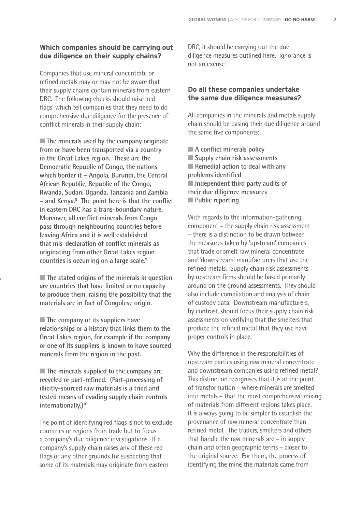#### **Which companies should be carrying out due diligence on their supply chains?**

Companies that use mineral concentrate or refined metals may or may not be aware that their supply chains contain minerals from eastern DRC. The following checks should raise 'red flags' which tell companies that they need to do comprehensive due diligence for the presence of conflict minerals in their supply chain:

■ **The minerals used by the company originate from or have been transported via a country in the Great Lakes region. These are the Democratic Republic of Congo, the nations which border it – Angola, Burundi, the Central African Republic, Republic of the Congo, Rwanda, Sudan, Uganda, Tanzania and Zambia**   $-$  and Kenya.<sup>8</sup> The point here is that the conflict **in eastern DRC has a trans-boundary nature. Moreover, all conflict minerals from Congo pass through neighbouring countries before leaving Africa and it is well established**  that mis-declaration of conflict minerals as **originating from other Great Lakes region countries is occurring on a large scale.9**

■ **The stated origins of the minerals in question are countries that have limited or no capacity to produce them, raising the possibility that the materials are in fact of Congolese origin.**

 $\mathbf{r}$ 

■ **The company or its suppliers have relationships or a history that links them to the Great Lakes region, for example if the company or one of its suppliers is known to have sourced minerals from the region in the past.** 

■ **The minerals supplied to the company are** recycled or part-refined. (Part-processing of **illicitly-sourced raw materials is a tried and tested means of evading supply chain controls internationally.)10**

The point of identifying red flags is not to exclude countries or regions from trade but to focus a company's due diligence investigations. If a company's supply chain raises any of these red flags or any other grounds for suspecting that some of its materials may originate from eastern

DRC, it should be carrying out the due diligence measures outlined here. Ignorance is not an excuse.

#### **Do all these companies undertake the same due diligence measures?**

All companies in the minerals and metals supply chain should be basing their due diligence around the same five components:

■ **A** conflict minerals policy ■ **Supply chain risk assessments** ■ **Remedial action to deal with any problems identified** ■ **Independent third party audits of their due diligence measures** ■ **Public reporting** 

With regards to the information-gathering component – the supply chain risk assessment – there is a distinction to be drawn between the measures taken by 'upstream' companies that trade or smelt raw mineral concentrate and 'downstream' manufacturers that use the refined metals. Supply chain risk assessments by upstream firms should be based primarily around on the ground assessments. They should also include compilation and analysis of chain of custody data. Downstream manufacturers, by contrast, should focus their supply chain risk assessments on verifying that the smelters that produce the refined metal that they use have proper controls in place.

Why the difference in the responsibilities of upstream parties using raw mineral concentrate and downstream companies using refined metal? This distinction recognises that it is at the point of transformation – where minerals are smelted into metals – that the most comprehensive mixing of materials from different regions takes place. It is always going to be simpler to establish the provenance of raw mineral concentrate than refined metal. The traders, smelters and others that handle the raw minerals are – in supply chain and often geographic terms – closer to the original source. For them, the process of identifying the mine the materials came from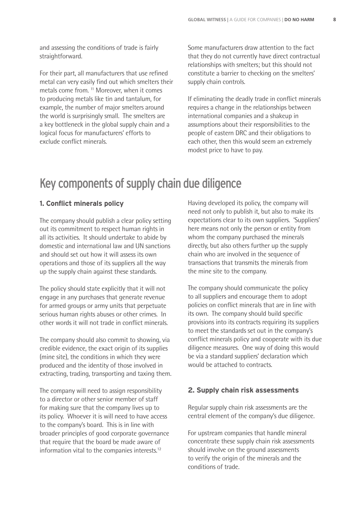and assessing the conditions of trade is fairly straightforward.

For their part, all manufacturers that use refined metal can very easily find out which smelters their metals come from. 11 Moreover, when it comes to producing metals like tin and tantalum, for example, the number of major smelters around the world is surprisingly small. The smelters are a key bottleneck in the global supply chain and a logical focus for manufacturers' efforts to exclude conflict minerals.

Some manufacturers draw attention to the fact that they do not currently have direct contractual relationships with smelters; but this should not constitute a barrier to checking on the smelters' supply chain controls.

If eliminating the deadly trade in conflict minerals requires a change in the relationships between international companies and a shakeup in assumptions about their responsibilities to the people of eastern DRC and their obligations to each other, then this would seem an extremely modest price to have to pay.

# Key components of supply chain due diligence

#### **1. Conflict minerals policy**

The company should publish a clear policy setting out its commitment to respect human rights in all its activities. It should undertake to abide by domestic and international law and UN sanctions and should set out how it will assess its own operations and those of its suppliers all the way up the supply chain against these standards.

The policy should state explicitly that it will not engage in any purchases that generate revenue for armed groups or army units that perpetuate serious human rights abuses or other crimes. In other words it will not trade in conflict minerals.

The company should also commit to showing, via credible evidence, the exact origin of its supplies (mine site), the conditions in which they were produced and the identity of those involved in extracting, trading, transporting and taxing them.

The company will need to assign responsibility to a director or other senior member of staff for making sure that the company lives up to its policy. Whoever it is will need to have access to the company's board. This is in line with broader principles of good corporate governance that require that the board be made aware of information vital to the companies interests.12

Having developed its policy, the company will need not only to publish it, but also to make its expectations clear to its own suppliers. 'Suppliers' here means not only the person or entity from whom the company purchased the minerals directly, but also others further up the supply chain who are involved in the sequence of transactions that transmits the minerals from the mine site to the company.

The company should communicate the policy to all suppliers and encourage them to adopt policies on conflict minerals that are in line with its own. The company should build specific provisions into its contracts requiring its suppliers to meet the standards set out in the company's conflict minerals policy and cooperate with its due diligence measures. One way of doing this would be via a standard suppliers' declaration which would be attached to contracts.

#### **2. Supply chain risk assessments**

Regular supply chain risk assessments are the central element of the company's due diligence.

For upstream companies that handle mineral concentrate these supply chain risk assessments should involve on the ground assessments to verify the origin of the minerals and the conditions of trade.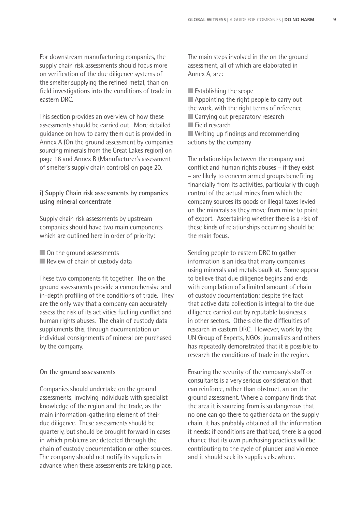For downstream manufacturing companies, the supply chain risk assessments should focus more on verification of the due diligence systems of the smelter supplying the refined metal, than on field investigations into the conditions of trade in eastern DRC.

This section provides an overview of how these assessments should be carried out. More detailed guidance on how to carry them out is provided in Annex A (On the ground assessment by companies sourcing minerals from the Great Lakes region) on page 16 and Annex B (Manufacturer's assessment of smelter's supply chain controls) on page 20.

**i) Supply Chain risk assessments by companies using mineral concentrate**

Supply chain risk assessments by upstream companies should have two main components which are outlined here in order of priority:

- On the ground assessments
- Review of chain of custody data

These two components fit together. The on the ground assessments provide a comprehensive and in-depth profiling of the conditions of trade. They are the only way that a company can accurately assess the risk of its activities fuelling conflict and human rights abuses. The chain of custody data supplements this, through documentation on individual consignments of mineral ore purchased by the company.

#### **On the ground assessments**

Companies should undertake on the ground assessments, involving individuals with specialist knowledge of the region and the trade, as the main information-gathering element of their due diligence. These assessments should be quarterly, but should be brought forward in cases in which problems are detected through the chain of custody documentation or other sources. The company should not notify its suppliers in advance when these assessments are taking place. The main steps involved in the on the ground assessment, all of which are elaborated in Annex A, are:

■ Establishing the scope

- Appointing the right people to carry out the work, with the right terms of reference
- Carrying out preparatory research
- Field research

■ Writing up findings and recommending actions by the company

The relationships between the company and conflict and human rights abuses – if they exist – are likely to concern armed groups benefiting financially from its activities, particularly through control of the actual mines from which the company sources its goods or illegal taxes levied on the minerals as they move from mine to point of export. Ascertaining whether there is a risk of these kinds of relationships occurring should be the main focus.

Sending people to eastern DRC to gather information is an idea that many companies using minerals and metals baulk at. Some appear to believe that due diligence begins and ends with compilation of a limited amount of chain of custody documentation; despite the fact that active data collection is integral to the due diligence carried out by reputable businesses in other sectors. Others cite the difficulties of research in eastern DRC. However, work by the UN Group of Experts, NGOs, journalists and others has repeatedly demonstrated that it is possible to research the conditions of trade in the region.

Ensuring the security of the company's staff or consultants is a very serious consideration that can reinforce, rather than obstruct, an on the ground assessment. Where a company finds that the area it is sourcing from is so dangerous that no one can go there to gather data on the supply chain, it has probably obtained all the information it needs: if conditions are that bad, there is a good chance that its own purchasing practices will be contributing to the cycle of plunder and violence and it should seek its supplies elsewhere.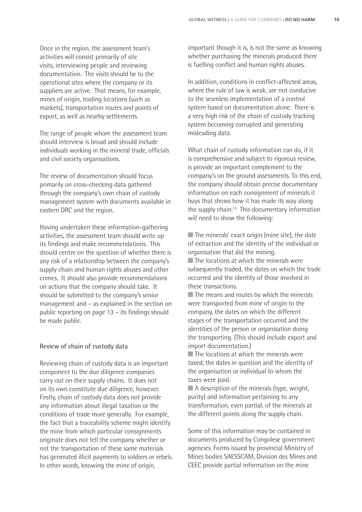Once in the region, the assessment team's activities will consist primarily of site visits, interviewing people and reviewing documentation. The visits should be to the operational sites where the company or its suppliers are active. That means, for example, mines of origin, trading locations (such as markets), transportation routes and points of export, as well as nearby settlements.

The range of people whom the assessment team should interview is broad and should include individuals working in the mineral trade, officials and civil society organisations.

The review of documentation should focus primarily on cross-checking data gathered through the company's own chain of custody management system with documents available in eastern DRC and the region.

Having undertaken these information-gathering activities, the assessment team should write up its findings and make recommendations. This should centre on the question of whether there is any risk of a relationship between the company's supply chain and human rights abuses and other crimes. It should also provide recommendations on actions that the company should take. It should be submitted to the company's senior management and – as explained in the section on public reporting on page 13 – its findings should be made public.

#### **Review of chain of custody data**

Reviewing chain of custody data is an important component to the due diligence companies carry out on their supply chains. It does not on its own constitute due diligence, however. Firstly, chain of custody data does not provide any information about illegal taxation or the conditions of trade more generally. For example, the fact that a traceability scheme might identify the mine from which particular consignments originate does not tell the company whether or not the transportation of these same materials has generated illicit payments to soldiers or rebels. In other words, knowing the mine of origin,

important though it is, is not the same as knowing whether purchasing the minerals produced there is fuelling conflict and human rights abuses.

In addition, conditions in conflict-affected areas, where the rule of law is weak, are not conducive to the seamless implementation of a control system based on documentation alone. There is a very high risk of the chain of custody tracking system becoming corrupted and generating misleading data.

What chain of custody information can do, if it is comprehensive and subject to rigorous review, is provide an important complement to the company's on the ground assessments. To this end, the company should obtain precise documentary information on each consignment of minerals it buys that shows how it has made its way along the supply chain.<sup>13</sup> This documentary information will need to show the following:

■ The minerals' exact origin (mine site), the date of extraction and the identity of the individual or organisation that did the mining.

■ The locations at which the minerals were subsequently traded, the dates on which the trade occurred and the identity of those involved in these transactions.

■ The means and routes by which the minerals were transported from mine of origin to the company, the dates on which the different stages of the transportation occurred and the identities of the person or organisation doing the transporting. (This should include export and import documentation.)

■ The locations at which the minerals were taxed, the dates in question and the identity of the organisation or individual to whom the taxes were paid.

■ A description of the minerals (type, weight, purity) and information pertaining to any transformation, even partial, of the minerals at the different points along the supply chain.

Some of this information may be contained in documents produced by Congolese government agencies. Forms issued by provincial Ministry of Mines bodies SAESSCAM, Division des Mines and CEEC provide partial information on the mine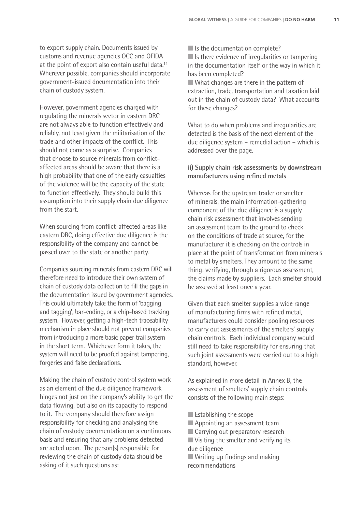to export supply chain. Documents issued by customs and revenue agencies OCC and OFIDA at the point of export also contain useful data.14 Wherever possible, companies should incorporate government-issued documentation into their chain of custody system.

However, government agencies charged with regulating the minerals sector in eastern DRC are not always able to function effectively and reliably, not least given the militarisation of the trade and other impacts of the conflict. This should not come as a surprise. Companies that choose to source minerals from conflictaffected areas should be aware that there is a high probability that one of the early casualties of the violence will be the capacity of the state to function effectively. They should build this assumption into their supply chain due diligence from the start.

When sourcing from conflict-affected areas like eastern DRC, doing effective due diligence is the responsibility of the company and cannot be passed over to the state or another party.

Companies sourcing minerals from eastern DRC will therefore need to introduce their own system of chain of custody data collection to fill the gaps in the documentation issued by government agencies. This could ultimately take the form of 'bagging and tagging', bar-coding, or a chip-based tracking system. However, getting a high-tech traceability mechanism in place should not prevent companies from introducing a more basic paper trail system in the short term. Whichever form it takes, the system will need to be proofed against tampering, forgeries and false declarations.

Making the chain of custody control system work as an element of the due diligence framework hinges not just on the company's ability to get the data flowing, but also on its capacity to respond to it. The company should therefore assign responsibility for checking and analysing the chain of custody documentation on a continuous basis and ensuring that any problems detected are acted upon. The person(s) responsible for reviewing the chain of custody data should be asking of it such questions as:

■ Is the documentation complete?

■ Is there evidence of irregularities or tampering in the documentation itself or the way in which it has been completed?

■ What changes are there in the pattern of extraction, trade, transportation and taxation laid out in the chain of custody data? What accounts for these changes?

What to do when problems and irregularities are detected is the basis of the next element of the due diligence system – remedial action – which is addressed over the page.

#### **ii) Supply chain risk assessments by downstream manufacturers using refined metals**

Whereas for the upstream trader or smelter of minerals, the main information-gathering component of the due diligence is a supply chain risk assessment that involves sending an assessment team to the ground to check on the conditions of trade at source, for the manufacturer it is checking on the controls in place at the point of transformation from minerals to metal by smelters. They amount to the same thing: verifying, through a rigorous assessment, the claims made by suppliers. Each smelter should be assessed at least once a year.

Given that each smelter supplies a wide range of manufacturing firms with refined metal, manufacturers could consider pooling resources to carry out assessments of the smelters' supply chain controls. Each individual company would still need to take responsibility for ensuring that such joint assessments were carried out to a high standard, however.

As explained in more detail in Annex B, the assessment of smelters' supply chain controls consists of the following main steps:

- $\blacksquare$  Establishing the scope
- Appointing an assessment team
- Carrying out preparatory research
- Visiting the smelter and verifying its due diligence
- Writing up findings and making recommendations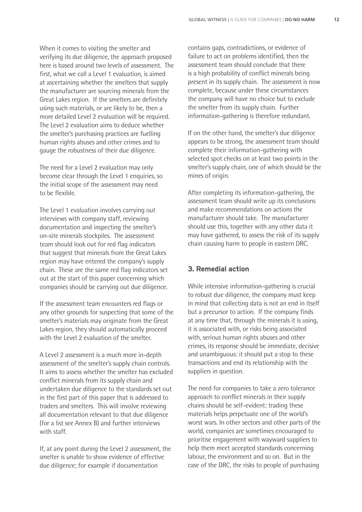When it comes to visiting the smelter and verifying its due diligence, the approach proposed here is based around two levels of assessment. The first, what we call a Level 1 evaluation, is aimed at ascertaining whether the smelters that supply the manufacturer are sourcing minerals from the Great Lakes region. If the smelters are definitely using such materials, or are likely to be, then a more detailed Level 2 evaluation will be required. The Level 2 evaluation aims to deduce whether the smelter's purchasing practices are fuelling human rights abuses and other crimes and to gauge the robustness of their due diligence.

The need for a Level 2 evaluation may only become clear through the Level 1 enquiries, so the initial scope of the assessment may need to be flexible.

The Level 1 evaluation involves carrying out interviews with company staff, reviewing documentation and inspecting the smelter's on-site minerals stockpiles. The assessment team should look out for red flag indicators that suggest that minerals from the Great Lakes region may have entered the company's supply chain. These are the same red flag indicators set out at the start of this paper concerning which companies should be carrying out due diligence.

If the assessment team encounters red flags or any other grounds for suspecting that some of the smelter's materials may originate from the Great Lakes region, they should automatically proceed with the Level 2 evaluation of the smelter.

A Level 2 assessment is a much more in-depth assessment of the smelter's supply chain controls. It aims to assess whether the smelter has excluded conflict minerals from its supply chain and undertaken due diligence to the standards set out in the first part of this paper that is addressed to traders and smelters. This will involve reviewing all documentation relevant to that due diligence (for a list see Annex B) and further interviews with staff.

If, at any point during the Level 2 assessment, the smelter is unable to show evidence of effective due diligence; for example if documentation

contains gaps, contradictions, or evidence of failure to act on problems identified, then the assessment team should conclude that there is a high probability of conflict minerals being present in its supply chain. The assessment is now complete, because under these circumstances the company will have no choice but to exclude the smelter from its supply chain. Further information-gathering is therefore redundant.

If on the other hand, the smelter's due diligence appears to be strong, the assessment team should complete their information-gathering with selected spot checks on at least two points in the smelter's supply chain, one of which should be the mines of origin.

After completing its information-gathering, the assessment team should write up its conclusions and make recommendations on actions the manufacturer should take. The manufacturer should use this, together with any other data it may have gathered, to assess the risk of its supply chain causing harm to people in eastern DRC.

#### **3. Remedial action**

While intensive information-gathering is crucial to robust due diligence, the company must keep in mind that collecting data is not an end in itself but a precursor to action. If the company finds at any time that, through the minerals it is using, it is associated with, or risks being associated with, serious human rights abuses and other crimes, its response should be immediate, decisive and unambiguous: it should put a stop to these transactions and end its relationship with the suppliers in question.

The need for companies to take a zero tolerance approach to conflict minerals in their supply chains should be self-evident: trading these materials helps perpetuate one of the world's worst wars. In other sectors and other parts of the world, companies are sometimes encouraged to prioritise engagement with wayward suppliers to help them meet accepted standards concerning labour, the environment and so on. But in the case of the DRC, the risks to people of purchasing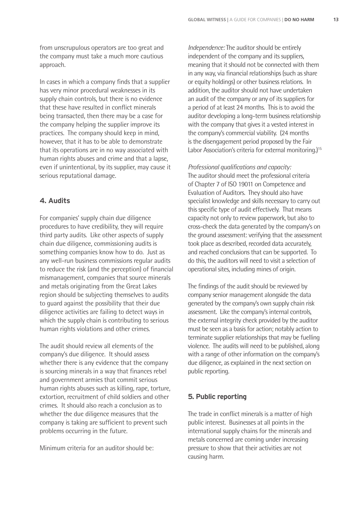from unscrupulous operators are too great and the company must take a much more cautious approach.

In cases in which a company finds that a supplier has very minor procedural weaknesses in its supply chain controls, but there is no evidence that these have resulted in conflict minerals being transacted, then there may be a case for the company helping the supplier improve its practices. The company should keep in mind, however, that it has to be able to demonstrate that its operations are in no way associated with human rights abuses and crime and that a lapse. even if unintentional, by its supplier, may cause it serious reputational damage.

#### **4. Audits**

For companies' supply chain due diligence procedures to have credibility, they will require third party audits. Like other aspects of supply chain due diligence, commissioning audits is something companies know how to do. Just as any well-run business commissions regular audits to reduce the risk (and the perception) of financial mismanagement, companies that source minerals and metals originating from the Great Lakes region should be subjecting themselves to audits to guard against the possibility that their due diligence activities are failing to detect ways in which the supply chain is contributing to serious human rights violations and other crimes.

The audit should review all elements of the company's due diligence. It should assess whether there is any evidence that the company is sourcing minerals in a way that finances rebel and government armies that commit serious human rights abuses such as killing, rape, torture, extortion, recruitment of child soldiers and other crimes. It should also reach a conclusion as to whether the due diligence measures that the company is taking are sufficient to prevent such problems occurring in the future.

Minimum criteria for an auditor should be:

*Independence:* The auditor should be entirely independent of the company and its suppliers, meaning that it should not be connected with them in any way, via financial relationships (such as share or equity holdings) or other business relations. In addition, the auditor should not have undertaken an audit of the company or any of its suppliers for a period of at least 24 months. This is to avoid the auditor developing a long-term business relationship with the company that gives it a vested interest in the company's commercial viability. (24 months is the disengagement period proposed by the Fair Labor Association's criteria for external monitoring.) 15

*Professional qualifications and capacity:* The auditor should meet the professional criteria of Chapter 7 of ISO 19011 on Competence and Evaluation of Auditors. They should also have specialist knowledge and skills necessary to carry out this specific type of audit effectively. That means capacity not only to review paperwork, but also to cross-check the data generated by the company's on the ground assessment: verifying that the assessment took place as described, recorded data accurately, and reached conclusions that can be supported. To do this, the auditors will need to visit a selection of operational sites, including mines of origin.

The findings of the audit should be reviewed by company senior management alongside the data generated by the company's own supply chain risk assessment. Like the company's internal controls, the external integrity check provided by the auditor must be seen as a basis for action; notably action to terminate supplier relationships that may be fuelling violence. The audits will need to be published, along with a range of other information on the company's due diligence, as explained in the next section on public reporting.

#### **5. Public reporting**

The trade in conflict minerals is a matter of high public interest. Businesses at all points in the international supply chains for the minerals and metals concerned are coming under increasing pressure to show that their activities are not causing harm.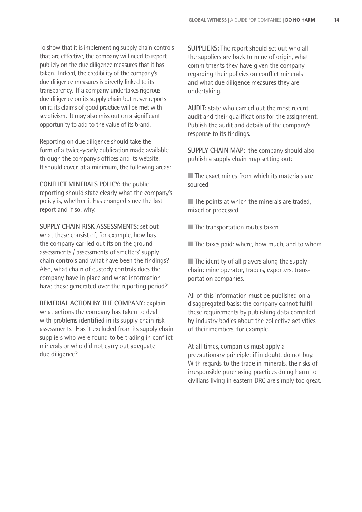To show that it is implementing supply chain controls that are effective, the company will need to report publicly on the due diligence measures that it has taken. Indeed, the credibility of the company's due diligence measures is directly linked to its transparency. If a company undertakes rigorous due diligence on its supply chain but never reports on it, its claims of good practice will be met with scepticism. It may also miss out on a significant opportunity to add to the value of its brand.

Reporting on due diligence should take the form of a twice-yearly publication made available through the company's offices and its website. It should cover, at a minimum, the following areas:

**CONFLICT MINERALS POLICY:** the public reporting should state clearly what the company's policy is, whether it has changed since the last report and if so, why.

**SUPPLY CHAIN RISK ASSESSMENTS:** set out what these consist of, for example, how has the company carried out its on the ground assessments / assessments of smelters' supply chain controls and what have been the findings? Also, what chain of custody controls does the company have in place and what information have these generated over the reporting period?

**REMEDIAL ACTION BY THE COMPANY:** explain what actions the company has taken to deal with problems identified in its supply chain risk assessments. Has it excluded from its supply chain suppliers who were found to be trading in conflict minerals or who did not carry out adequate due diligence?

**SUPPLIERS:** The report should set out who all the suppliers are back to mine of origin, what commitments they have given the company regarding their policies on conflict minerals and what due diligence measures they are undertaking.

**AUDIT:** state who carried out the most recent audit and their qualifications for the assignment. Publish the audit and details of the company's response to its findings.

**SUPPLY CHAIN MAP:** the company should also publish a supply chain map setting out:

■ The exact mines from which its materials are sourced

 $\blacksquare$  The points at which the minerals are traded. mixed or processed

■ The transportation routes taken

■ The taxes paid: where, how much, and to whom

■ The identity of all players along the supply chain: mine operator, traders, exporters, transportation companies.

All of this information must be published on a disaggregated basis: the company cannot fulfil these requirements by publishing data compiled by industry bodies about the collective activities of their members, for example.

At all times, companies must apply a precautionary principle: if in doubt, do not buy. With regards to the trade in minerals, the risks of irresponsible purchasing practices doing harm to civilians living in eastern DRC are simply too great.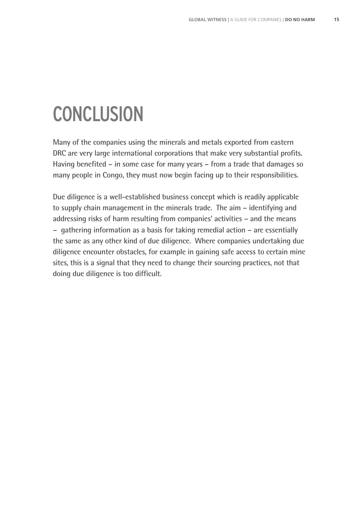# **CONCLUSION**

**Many of the companies using the minerals and metals exported from eastern DRC** are very large international corporations that make very substantial profits. Having benefited – in some case for many years – from a trade that damages so **many people in Congo, they must now begin facing up to their responsibilities.**

**Due diligence is a well-established business concept which is readily applicable to supply chain management in the minerals trade. The aim – identifying and addressing risks of harm resulting from companies' activities – and the means – gathering information as a basis for taking remedial action – are essentially the same as any other kind of due diligence. Where companies undertaking due diligence encounter obstacles, for example in gaining safe access to certain mine sites, this is a signal that they need to change their sourcing practices, not that**  doing due diligence is too difficult.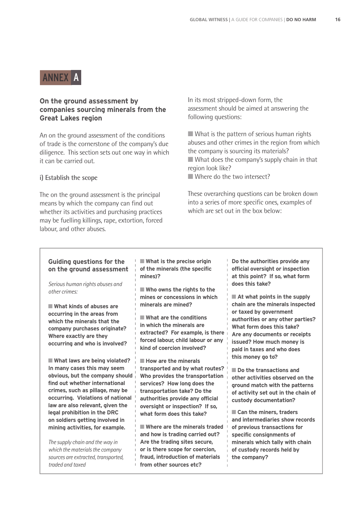## ANNEX A

#### **On the ground assessment by companies sourcing minerals from the Great Lakes region**

An on the ground assessment of the conditions of trade is the cornerstone of the company's due diligence. This section sets out one way in which it can be carried out.

#### **i) Establish the scope**

The on the ground assessment is the principal means by which the company can find out whether its activities and purchasing practices may be fuelling killings, rape, extortion, forced labour, and other abuses.

In its most stripped-down form, the assessment should be aimed at answering the following questions:

■ What is the pattern of serious human rights abuses and other crimes in the region from which the company is sourcing its materials? ■ What does the company's supply chain in that region look like?

■ Where do the two intersect?

These overarching questions can be broken down into a series of more specific ones, examples of which are set out in the box below:

#### **Guiding questions for the on the ground assessment**

*Serious human rights abuses and other crimes:*

■ What kinds of abuses are **occurring in the areas from which the minerals that the company purchases originate? Where exactly are they occurring and who is involved?**

■ What laws are being violated? **In many cases this may seem obvious, but the company should find out whether international crimes, such as pillage, may be occurring. Violations of national law are also relevant, given the legal prohibition in the DRC on soldiers getting involved in mining activities, for example.**

*The supply chain and the way in which the materials the company sources are extracted, transported, traded and taxed*

■ What is the precise origin **of the minerals (the specific mines)?** 

■ Who owns the rights to the **mines or concessions in which minerals are mined?**

■ **What are the conditions in which the minerals are extracted? For example, is there forced labour, child labour or any kind of coercion involved?** 

■ **How are the minerals transported and by what routes? Who provides the transportation services? How long does the transportation take? Do the authorities provide any official oversight or inspection? If so, what form does this take?**

■ Where are the minerals traded **and how is trading carried out? Are the trading sites secure, or is there scope for coercion, fraud, introduction of materials from other sources etc?** 

**Do the authorities provide any official oversight or inspection at this point? If so, what form does this take?**

■ At what points in the supply **chain are the minerals inspected or taxed by government authorities or any other parties? What form does this take? Are any documents or receipts issued? How much money is paid in taxes and who does this money go to?** 

■ **Do the transactions and other activities observed on the ground match with the patterns of activity set out in the chain of custody documentation?**

■ **Can the miners, traders and intermediaries show records of previous transactions for specific consignments of minerals which tally with chain of custody records held by the company?**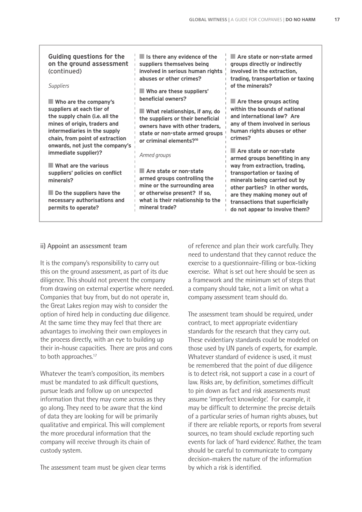**Guiding questions for the on the ground assessment**  (continued)

#### *Suppliers*

■ **Who are the company's suppliers at each tier of the supply chain (i.e. all the mines of origin, traders and intermediaries in the supply chain, from point of extraction onwards, not just the company's immediate supplier)?**

■ **What are the various suppliers' policies on conflict minerals?**

■ Do the suppliers have the **necessary authorisations and permits to operate?**

■ **Is there any evidence of the suppliers themselves being involved in serious human rights abuses or other crimes?**

■ **Who are these suppliers' beneficial owners?** 

■ **What relationships, if any, do the suppliers or their beneficial owners have with other traders, state or non-state armed groups or criminal elements?16** 

#### *Armed groups*

■ Are state or non-state **armed groups controlling the mine or the surrounding area or otherwise present? If so, what is their relationship to the mineral trade?** 

■ Are state or non-state armed **groups directly or indirectly involved in the extraction, trading, transportation or taxing of the minerals?** 

■ Are these groups acting **within the bounds of national and international law? Are any of them involved in serious human rights abuses or other crimes?**

■ Are state or non-state **armed groups benefiting in any way from extraction, trading, transportation or taxing of minerals being carried out by other parties? In other words, are they making money out of transactions that superficially do not appear to involve them?**

#### **ii) Appoint an assessment team**

It is the company's responsibility to carry out this on the ground assessment, as part of its due diligence. This should not prevent the company from drawing on external expertise where needed. Companies that buy from, but do not operate in, the Great Lakes region may wish to consider the option of hired help in conducting due diligence. At the same time they may feel that there are advantages to involving their own employees in the process directly, with an eye to building up their in-house capacities. There are pros and cons to both approaches.<sup>17</sup>

Whatever the team's composition, its members must be mandated to ask difficult questions, pursue leads and follow up on unexpected information that they may come across as they go along. They need to be aware that the kind of data they are looking for will be primarily qualitative and empirical. This will complement the more procedural information that the company will receive through its chain of custody system.

The assessment team must be given clear terms

of reference and plan their work carefully. They need to understand that they cannot reduce the exercise to a questionnaire-filling or box-ticking exercise. What is set out here should be seen as a framework and the minimum set of steps that a company should take, not a limit on what a company assessment team should do.

The assessment team should be required, under contract, to meet appropriate evidentiary standards for the research that they carry out. These evidentiary standards could be modeled on those used by UN panels of experts, for example. Whatever standard of evidence is used, it must be remembered that the point of due diligence is to detect risk, not support a case in a court of law. Risks are, by definition, sometimes difficult to pin down as fact and risk assessments must assume 'imperfect knowledge'. For example, it may be difficult to determine the precise details of a particular series of human rights abuses, but if there are reliable reports, or reports from several sources, no team should exclude reporting such events for lack of 'hard evidence'. Rather, the team should be careful to communicate to company decision-makers the nature of the information by which a risk is identified.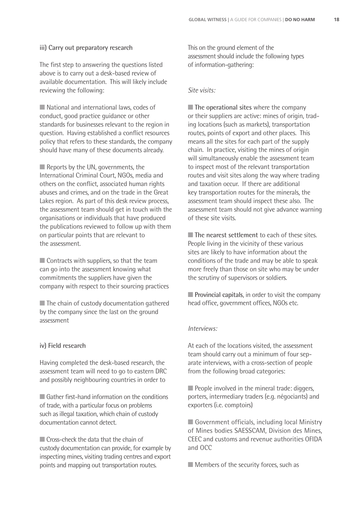#### **iii) Carry out preparatory research**

The first step to answering the questions listed above is to carry out a desk-based review of available documentation. This will likely include reviewing the following:

■ National and international laws, codes of conduct, good practice guidance or other standards for businesses relevant to the region in question. Having established a conflict resources policy that refers to these standards, the company should have many of these documents already.

■ Reports by the UN, governments, the International Criminal Court, NGOs, media and others on the conflict, associated human rights abuses and crimes, and on the trade in the Great Lakes region. As part of this desk review process, the assessment team should get in touch with the organisations or individuals that have produced the publications reviewed to follow up with them on particular points that are relevant to the assessment.

 $\blacksquare$  Contracts with suppliers, so that the team can go into the assessment knowing what commitments the suppliers have given the company with respect to their sourcing practices

■ The chain of custody documentation gathered by the company since the last on the ground assessment

#### **iv) Field research**

Having completed the desk-based research, the assessment team will need to go to eastern DRC and possibly neighbouring countries in order to

■ Gather first-hand information on the conditions of trade, with a particular focus on problems such as illegal taxation, which chain of custody documentation cannot detect.

■ Cross-check the data that the chain of custody documentation can provide, for example by inspecting mines, visiting trading centres and export points and mapping out transportation routes.

This on the ground element of the assessment should include the following types of information-gathering:

#### *Site visits:*

■ **The operational sites** where the company or their suppliers are active: mines of origin, trading locations (such as markets), transportation routes, points of export and other places. This means all the sites for each part of the supply chain. In practice, visiting the mines of origin will simultaneously enable the assessment team to inspect most of the relevant transportation routes and visit sites along the way where trading and taxation occur. If there are additional key transportation routes for the minerals, the assessment team should inspect these also. The assessment team should not give advance warning of these site visits.

■ **The nearest settlement** to each of these sites. People living in the vicinity of these various sites are likely to have information about the conditions of the trade and may be able to speak more freely than those on site who may be under the scrutiny of supervisors or soldiers.

■ **Provincial capitals**, in order to visit the company head office, government offices, NGOs etc.

#### *Interviews:*

At each of the locations visited, the assessment team should carry out a minimum of four separate interviews, with a cross-section of people from the following broad categories:

■ People involved in the mineral trade: diggers, porters, intermediary traders (e.g. négociants) and exporters (i.e. comptoirs)

■ Government officials, including local Ministry of Mines bodies SAESSCAM, Division des Mines, CEEC and customs and revenue authorities OFIDA and OCC

■ Members of the security forces, such as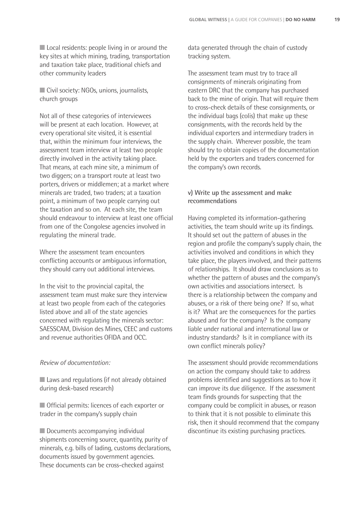■ Local residents: people living in or around the key sites at which mining, trading, transportation and taxation take place, traditional chiefs and other community leaders

■ Civil society: NGOs, unions, journalists, church groups

Not all of these categories of interviewees will be present at each location. However, at every operational site visited, it is essential that, within the minimum four interviews, the assessment team interview at least two people directly involved in the activity taking place. That means, at each mine site, a minimum of two diggers; on a transport route at least two porters, drivers or middlemen; at a market where minerals are traded, two traders; at a taxation point, a minimum of two people carrying out the taxation and so on. At each site, the team should endeavour to interview at least one official from one of the Congolese agencies involved in regulating the mineral trade.

Where the assessment team encounters conflicting accounts or ambiguous information, they should carry out additional interviews.

In the visit to the provincial capital, the assessment team must make sure they interview at least two people from each of the categories listed above and all of the state agencies concerned with regulating the minerals sector: SAESSCAM, Division des Mines, CEEC and customs and revenue authorities OFIDA and OCC.

#### *Review of documentation:*

■ Laws and regulations (if not already obtained during desk-based research)

■ Official permits: licences of each exporter or trader in the company's supply chain

■ Documents accompanying individual shipments concerning source, quantity, purity of minerals, e.g. bills of lading, customs declarations, documents issued by government agencies. These documents can be cross-checked against

data generated through the chain of custody tracking system.

The assessment team must try to trace all consignments of minerals originating from eastern DRC that the company has purchased back to the mine of origin. That will require them to cross-check details of these consignments, or the individual bags (colis) that make up these consignments, with the records held by the individual exporters and intermediary traders in the supply chain. Wherever possible, the team should try to obtain copies of the documentation held by the exporters and traders concerned for the company's own records.

#### **v) Write up the assessment and make recommendations**

Having completed its information-gathering activities, the team should write up its findings. It should set out the pattern of abuses in the region and profile the company's supply chain, the activities involved and conditions in which they take place, the players involved, and their patterns of relationships. It should draw conclusions as to whether the pattern of abuses and the company's own activities and associations intersect. Is there is a relationship between the company and abuses, or a risk of there being one? If so, what is it? What are the consequences for the parties abused and for the company? Is the company liable under national and international law or industry standards? Is it in compliance with its own conflict minerals policy?

The assessment should provide recommendations on action the company should take to address problems identified and suggestions as to how it can improve its due diligence. If the assessment team finds grounds for suspecting that the company could be complicit in abuses, or reason to think that it is not possible to eliminate this risk, then it should recommend that the company discontinue its existing purchasing practices.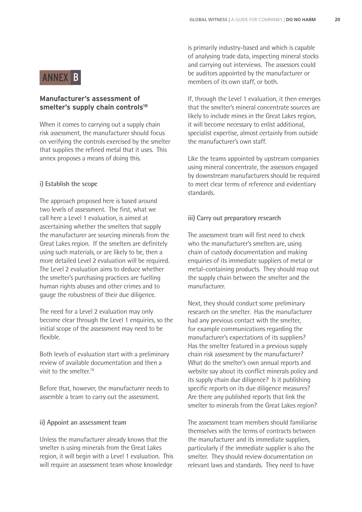## ANNEX B

#### **Manufacturer's assessment of**  smelter's supply chain controls<sup>18</sup>

When it comes to carrying out a supply chain risk assessment, the manufacturer should focus on verifying the controls exercised by the smelter that supplies the refined metal that it uses. This annex proposes a means of doing this.

#### **i) Establish the scope**

The approach proposed here is based around two levels of assessment. The first, what we call here a Level 1 evaluation, is aimed at ascertaining whether the smelters that supply the manufacturer are sourcing minerals from the Great Lakes region. If the smelters are definitely using such materials, or are likely to be, then a more detailed Level 2 evaluation will be required. The Level 2 evaluation aims to deduce whether the smelter's purchasing practices are fuelling human rights abuses and other crimes and to gauge the robustness of their due diligence.

The need for a Level 2 evaluation may only become clear through the Level 1 enquiries, so the initial scope of the assessment may need to be flexible.

Both levels of evaluation start with a preliminary review of available documentation and then a visit to the smelter. $19$ 

Before that, however, the manufacturer needs to assemble a team to carry out the assessment.

#### **ii) Appoint an assessment team**

Unless the manufacturer already knows that the smelter is using minerals from the Great Lakes region, it will begin with a Level 1 evaluation. This will require an assessment team whose knowledge

is primarily industry-based and which is capable of analysing trade data, inspecting mineral stocks and carrying out interviews. The assessors could be auditors appointed by the manufacturer or members of its own staff, or both.

If, through the Level 1 evaluation, it then emerges that the smelter's mineral concentrate sources are likely to include mines in the Great Lakes region, it will become necessary to enlist additional, specialist expertise, almost certainly from outside the manufacturer's own staff.

Like the teams appointed by upstream companies using mineral concentrate, the assessors engaged by downstream manufacturers should be required to meet clear terms of reference and evidentiary standards.

#### **iii) Carry out preparatory research**

The assessment team will first need to check who the manufacturer's smelters are, using chain of custody documentation and making enquiries of its immediate suppliers of metal or metal-containing products. They should map out the supply chain between the smelter and the manufacturer.

Next, they should conduct some preliminary research on the smelter. Has the manufacturer had any previous contact with the smelter, for example communications regarding the manufacturer's expectations of its suppliers? Has the smelter featured in a previous supply chain risk assessment by the manufacturer? What do the smelter's own annual reports and website say about its conflict minerals policy and its supply chain due diligence? Is it publishing specific reports on its due diligence measures? Are there any published reports that link the smelter to minerals from the Great Lakes region?

The assessment team members should familiarise themselves with the terms of contracts between the manufacturer and its immediate suppliers, particularly if the immediate supplier is also the smelter. They should review documentation on relevant laws and standards. They need to have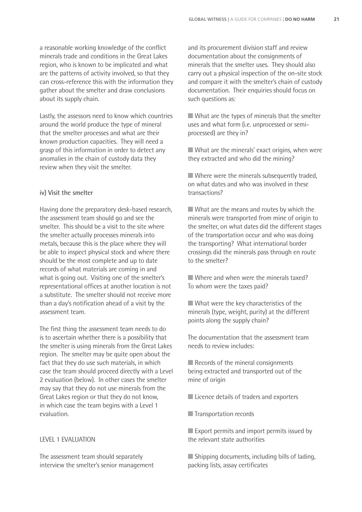a reasonable working knowledge of the conflict minerals trade and conditions in the Great Lakes region, who is known to be implicated and what are the patterns of activity involved, so that they can cross-reference this with the information they gather about the smelter and draw conclusions about its supply chain.

Lastly, the assessors need to know which countries around the world produce the type of mineral that the smelter processes and what are their known production capacities. They will need a grasp of this information in order to detect any anomalies in the chain of custody data they review when they visit the smelter.

#### **iv) Visit the smelter**

Having done the preparatory desk-based research, the assessment team should go and see the smelter. This should be a visit to the site where the smelter actually processes minerals into metals, because this is the place where they will be able to inspect physical stock and where there should be the most complete and up to date records of what materials are coming in and what is going out. Visiting one of the smelter's representational offices at another location is not a substitute. The smelter should not receive more than a day's notification ahead of a visit by the assessment team.

The first thing the assessment team needs to do is to ascertain whether there is a possibility that the smelter is using minerals from the Great Lakes region. The smelter may be quite open about the fact that they do use such materials, in which case the team should proceed directly with a Level 2 evaluation (below). In other cases the smelter may say that they do not use minerals from the Great Lakes region or that they do not know, in which case the team begins with a Level 1 evaluation.

#### LEVEL 1 EVALUATION

The assessment team should separately interview the smelter's senior management

and its procurement division staff and review documentation about the consignments of minerals that the smelter uses. They should also carry out a physical inspection of the on-site stock and compare it with the smelter's chain of custody documentation. Their enquiries should focus on such questions as:

■ What are the types of minerals that the smelter uses and what form (i.e. unprocessed or semiprocessed) are they in?

■ What are the minerals' exact origins, when were they extracted and who did the mining?

■ Where were the minerals subsequently traded, on what dates and who was involved in these transactions?

■ What are the means and routes by which the minerals were transported from mine of origin to the smelter, on what dates did the different stages of the transportation occur and who was doing the transporting? What international border crossings did the minerals pass through en route to the smelter?

■ Where and when were the minerals taxed? To whom were the taxes paid?

■ What were the key characteristics of the minerals (type, weight, purity) at the different points along the supply chain?

The documentation that the assessment team needs to review includes:

■ Records of the mineral consignments being extracted and transported out of the mine of origin

- Licence details of traders and exporters
- Transportation records

■ Export permits and import permits issued by the relevant state authorities

■ Shipping documents, including bills of lading, packing lists, assay certificates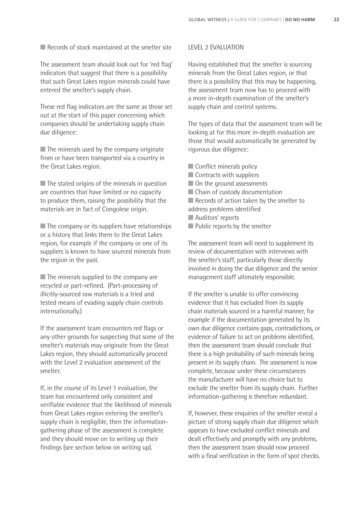■ Records of stock maintained at the smelter site

The assessment team should look out for 'red flag' indicators that suggest that there is a possibility that such Great Lakes region minerals could have entered the smelter's supply chain.

These red flag indicators are the same as those set out at the start of this paper concerning which companies should be undertaking supply chain due diligence:

■ The minerals used by the company originate from or have been transported via a country in the Great Lakes region.

 $\blacksquare$  The stated origins of the minerals in question are countries that have limited or no capacity to produce them, raising the possibility that the materials are in fact of Congolese origin.

 $\blacksquare$  The company or its suppliers have relationships or a history that links them to the Great Lakes region, for example if the company or one of its suppliers is known to have sourced minerals from the region in the past.

■ The minerals supplied to the company are recycled or part-refined. (Part-processing of illicitly-sourced raw materials is a tried and tested means of evading supply chain controls internationally.)

If the assessment team encounters red flags or any other grounds for suspecting that some of the smelter's materials may originate from the Great Lakes region, they should automatically proceed with the Level 2 evaluation assessment of the smelter.

If, in the course of its Level 1 evaluation, the team has encountered only consistent and verifiable evidence that the likelihood of minerals from Great Lakes region entering the smelter's supply chain is negligible, then the informationgathering phase of the assessment is complete and they should move on to writing up their findings (see section below on writing up).

#### LEVEL 2 EVALUATION

Having established that the smelter is sourcing minerals from the Great Lakes region, or that there is a possibility that this may be happening, the assessment team now has to proceed with a more in-depth examination of the smelter's supply chain and control systems.

The types of data that the assessment team will be looking at for this more in-depth evaluation are those that would automatically be generated by rigorous due diligence:

- Conflict minerals policy
- Contracts with suppliers
- On the ground assessments
- Chain of custody documentation

■ Records of action taken by the smelter to address problems identified

- Auditors' reports
- Public reports by the smelter

The assessment team will need to supplement its review of documentation with interviews with the smelter's staff, particularly those directly involved in doing the due diligence and the senior management staff ultimately responsible.

If the smelter is unable to offer convincing evidence that it has excluded from its supply chain materials sourced in a harmful manner, for example if the documentation generated by its own due diligence contains gaps, contradictions, or evidence of failure to act on problems identified, then the assessment team should conclude that there is a high probability of such minerals being present in its supply chain. The assessment is now complete, because under these circumstances the manufacturer will have no choice but to exclude the smelter from its supply chain. Further information-gathering is therefore redundant.

If, however, these enquiries of the smelter reveal a picture of strong supply chain due diligence which appears to have excluded conflict minerals and dealt effectively and promptly with any problems, then the assessment team should now proceed with a final verification in the form of spot checks.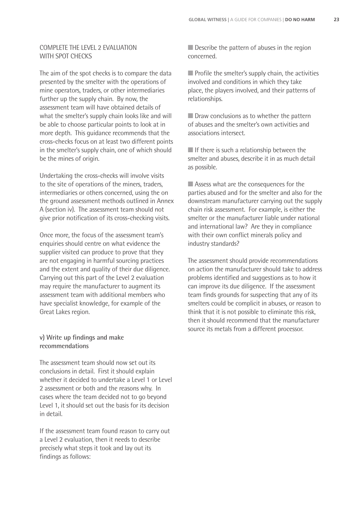#### COMPLETE THE LEVEL 2 EVALUATION WITH SPOT CHECKS

The aim of the spot checks is to compare the data presented by the smelter with the operations of mine operators, traders, or other intermediaries further up the supply chain. By now, the assessment team will have obtained details of what the smelter's supply chain looks like and will be able to choose particular points to look at in more depth. This guidance recommends that the cross-checks focus on at least two different points in the smelter's supply chain, one of which should be the mines of origin.

Undertaking the cross-checks will involve visits to the site of operations of the miners, traders, intermediaries or others concerned, using the on the ground assessment methods outlined in Annex A (section iv). The assessment team should not give prior notification of its cross-checking visits.

Once more, the focus of the assessment team's enquiries should centre on what evidence the supplier visited can produce to prove that they are not engaging in harmful sourcing practices and the extent and quality of their due diligence. Carrying out this part of the Level 2 evaluation may require the manufacturer to augment its assessment team with additional members who have specialist knowledge, for example of the Great Lakes region.

#### **v) Write up findings and make recommendations**

The assessment team should now set out its conclusions in detail. First it should explain whether it decided to undertake a Level 1 or Level 2 assessment or both and the reasons why. In cases where the team decided not to go beyond Level 1, it should set out the basis for its decision in detail.

If the assessment team found reason to carry out a Level 2 evaluation, then it needs to describe precisely what steps it took and lay out its findings as follows:

■ Describe the pattern of abuses in the region concerned.

■ Profile the smelter's supply chain, the activities involved and conditions in which they take place, the players involved, and their patterns of relationships.

■ Draw conclusions as to whether the pattern of abuses and the smelter's own activities and associations intersect.

■ If there is such a relationship between the smelter and abuses, describe it in as much detail as possible.

■ Assess what are the consequences for the parties abused and for the smelter and also for the downstream manufacturer carrying out the supply chain risk assessment. For example, is either the smelter or the manufacturer liable under national and international law? Are they in compliance with their own conflict minerals policy and industry standards?

The assessment should provide recommendations on action the manufacturer should take to address problems identified and suggestions as to how it can improve its due diligence. If the assessment team finds grounds for suspecting that any of its smelters could be complicit in abuses, or reason to think that it is not possible to eliminate this risk, then it should recommend that the manufacturer source its metals from a different processor.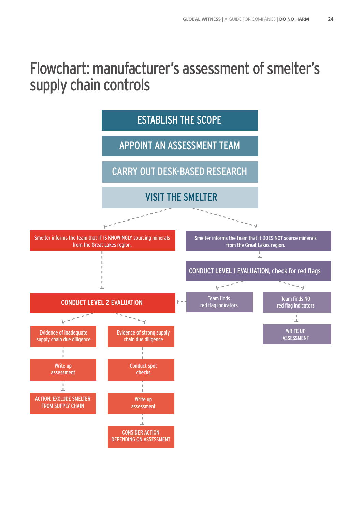# Flowchart: manufacturer's assessment of smelter's supply chain controls

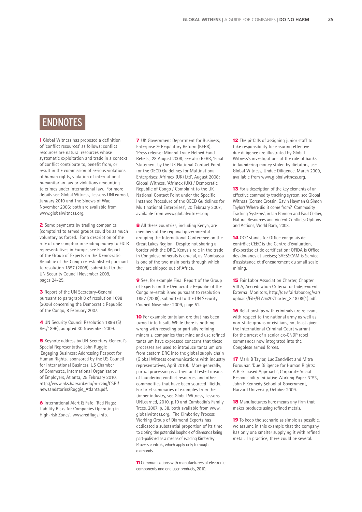## ENDNOTES

1 Global Witness has proposed a definition of 'conflict resources' as follows: conflict resources are natural resources whose systematic exploitation and trade in a context of conflict contribute to, benefit from, or result in the commission of serious violations of human rights, violation of international humanitarian law or violations amounting to crimes under international law. For more details see Global Witness, Lessons UNLearned, January 2010 and The Sinews of War, November 2006; both are available from www.globalwitness.org.

2 Some payments by trading companies (comptoirs) to armed groups could be as much voluntary as forced. For a description of the role of one comptoir in sending money to FDLR representatives in Europe, see Final Report of the Group of Experts on the Democratic Republic of the Congo re-established pursuant to resolution 1857 (2008), submitted to the UN Security Council November 2009, pages 24-25.

**3** Report of the UN Secretary-General pursuant to paragraph 8 of resolution 1698 (2006) concerning the Democratic Republic of the Congo, 8 February 2007.

4 UN Security Council Resolution 1896 (S/ Res/1896), adopted 30 November 2009.

5 Keynote address by UN Secretary-General's Special Representative John Ruggie 'Engaging Business: Addressing Respect for Human Rights', sponsored by the US Council for International Business, US Chamber of Commerce, International Organization of Employers, Atlanta, 25 February 2010, http://www.hks.harvard.edu/m-rcbg/CSRI/ newsandstories/Ruggie\_Atlanta.pdf.

6 International Alert & Fafo, 'Red Flags: Liability Risks for Companies Operating in High-risk Zones', www.redflags.info.

**7** UK Government Department for Business, Enterprise & Regulatory Reform (BERR), 'Press release: Mineral Trade Helped Fund Rebels', 28 August 2008; see also BERR, 'Final Statement by the UK National Contact Point for the OECD Guidelines for Multinational Enterprises: Afrimex (UK) Ltd', August 2008; Global Witness, 'Afrimex (UK) / Democratic Republic of Congo / Complaint to the UK National Contact Point under the Specific Instance Procedure of the OECD Guidelines for Multinational Enterprises', 20 February 2007, available from www.globalwitness.org.

8 All these countries, including Kenya, are members of the regional governmental grouping the International Conference on the Great Lakes Region. Despite not sharing a border with the DRC, Kenya's role in the trade in Congolese minerals is crucial, as Mombassa is one of the two main ports through which they are shipped out of Africa.

9 See, for example Final Report of the Group of Experts on the Democratic Republic of the Congo re-established pursuant to resolution 1857 (2008), submitted to the UN Security Council November 2009, page 51.

10 For example tantalum ore that has been turned into k-salt. While there is nothing wrong with recycling or partially refining minerals, companies that mine and use refined tantalum have expressed concerns that these processes are used to introduce tantalum ore from eastern DRC into the global supply chain (Global Witness communications with industry representatives, April 2010). More generally, partial processing is a tried and tested means of laundering conflict resources and other commodities that have been sourced illicitly. For brief summaries of examples from the timber industry, see Global Witness, Lessons UNLearned, 2010, p.10 and Cambodia's Family Trees, 2007, p. 38, both available from www. globalwitness.org. The Kimberley Process Working Group of Diamond Experts has dedicated a substantial proportion of its time to closing the potential loophole of diamonds being part-polished as a means of evading Kimberley Process controls, which apply only to rough diamonds.

11 Communications with manufacturers of electronic components and end user products, 2010.

12 The pitfalls of assigning junior staff to take responsibility for ensuring effective due diligence are illustrated by Global Witness's investigations of the role of banks in laundering money stolen by dictators, see Global Witness, Undue Diligence, March 2009, available from www.globalwitness.org.

13 For a description of the key elements of an effective commodity tracking system, see Global Witness (Corene Crossin, Gavin Hayman & Simon Taylor) 'Where did it come from? Commodity Tracking Systems', in Ian Bannon and Paul Collier, Natural Resources and Violent Conflicts: Options and Actions, World Bank, 2003.

14 OCC stands for Office congolais de contrôle; CEEC is the Centre d'évaluation, d'expertise et de certification; OFIDA is Office des douanes et accises; SAESSCAM is Service d'assistance et d'encadrement du small scale mining.

**15** Fair Labor Association Charter, Chapter VIII A, Accreditation Criteria for Independent External Monitors, http://dev.fairlabor.org/var/ uploads/File/FLA%20Charter\_3.18.08(1).pdf.

16 Relationships with criminals are relevant with respect to the national army as well as non-state groups or civilians, not least given the International Criminal Court warrant for the arrest of a senior ex-CNDP rebel commander now integrated into the Congolese armed forces.

17 Mark B Taylor, Luc Zandvliet and Mitra Forouhar, 'Due Diligence for Human Rights: A Risk-based Approach', Corporate Social Responsibility Initiative Working Paper N°53, John F Kennedy School of Government, Harvard University, October 2009.

18 Manufacturers here means any firm that makes products using refined metals.

19 To keep the scenario as simple as possible, we assume in this example that the company has only one smelter supplying it with refined metal. In practice, there could be several.